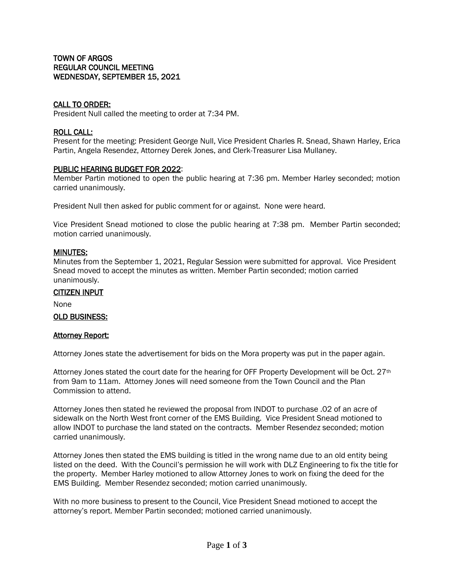## TOWN OF ARGOS REGULAR COUNCIL MEETING WEDNESDAY, SEPTEMBER 15, 2021

## CALL TO ORDER:

President Null called the meeting to order at 7:34 PM.

### ROLL CALL:

Present for the meeting: President George Null, Vice President Charles R. Snead, Shawn Harley, Erica Partin, Angela Resendez, Attorney Derek Jones, and Clerk-Treasurer Lisa Mullaney.

#### PUBLIC HEARING BUDGET FOR 2022:

Member Partin motioned to open the public hearing at 7:36 pm. Member Harley seconded; motion carried unanimously.

President Null then asked for public comment for or against. None were heard.

Vice President Snead motioned to close the public hearing at 7:38 pm. Member Partin seconded; motion carried unanimously.

### MINUTES:

Minutes from the September 1, 2021, Regular Session were submitted for approval. Vice President Snead moved to accept the minutes as written. Member Partin seconded; motion carried unanimously.

#### CITIZEN INPUT

None

#### OLD BUSINESS:

#### Attorney Report:

Attorney Jones state the advertisement for bids on the Mora property was put in the paper again.

Attorney Jones stated the court date for the hearing for OFF Property Development will be Oct. 27th from 9am to 11am. Attorney Jones will need someone from the Town Council and the Plan Commission to attend.

Attorney Jones then stated he reviewed the proposal from INDOT to purchase .02 of an acre of sidewalk on the North West front corner of the EMS Building. Vice President Snead motioned to allow INDOT to purchase the land stated on the contracts. Member Resendez seconded; motion carried unanimously.

Attorney Jones then stated the EMS building is titled in the wrong name due to an old entity being listed on the deed. With the Council's permission he will work with DLZ Engineering to fix the title for the property. Member Harley motioned to allow Attorney Jones to work on fixing the deed for the EMS Building. Member Resendez seconded; motion carried unanimously.

With no more business to present to the Council, Vice President Snead motioned to accept the attorney's report. Member Partin seconded; motioned carried unanimously.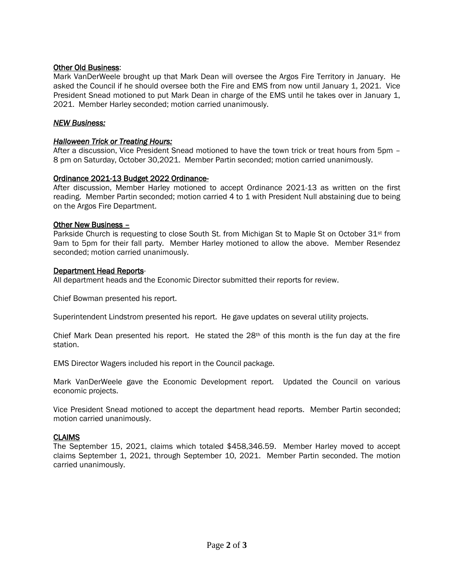## Other Old Business:

Mark VanDerWeele brought up that Mark Dean will oversee the Argos Fire Territory in January. He asked the Council if he should oversee both the Fire and EMS from now until January 1, 2021. Vice President Snead motioned to put Mark Dean in charge of the EMS until he takes over in January 1, 2021. Member Harley seconded; motion carried unanimously.

## *NEW Business:*

## *Halloween Trick or Treating Hours:*

After a discussion, Vice President Snead motioned to have the town trick or treat hours from 5pm – 8 pm on Saturday, October 30,2021. Member Partin seconded; motion carried unanimously.

### Ordinance 2021-13 Budget 2022 Ordinance-

After discussion, Member Harley motioned to accept Ordinance 2021-13 as written on the first reading. Member Partin seconded; motion carried 4 to 1 with President Null abstaining due to being on the Argos Fire Department.

### Other New Business –

Parkside Church is requesting to close South St. from Michigan St to Maple St on October 31<sup>st</sup> from 9am to 5pm for their fall party. Member Harley motioned to allow the above. Member Resendez seconded; motion carried unanimously.

### Department Head Reports-

All department heads and the Economic Director submitted their reports for review.

Chief Bowman presented his report.

Superintendent Lindstrom presented his report. He gave updates on several utility projects.

Chief Mark Dean presented his report. He stated the  $28<sup>th</sup>$  of this month is the fun day at the fire station.

EMS Director Wagers included his report in the Council package.

Mark VanDerWeele gave the Economic Development report. Updated the Council on various economic projects.

Vice President Snead motioned to accept the department head reports. Member Partin seconded; motion carried unanimously.

# CLAIMS

The September 15, 2021, claims which totaled \$458,346.59. Member Harley moved to accept claims September 1, 2021, through September 10, 2021. Member Partin seconded. The motion carried unanimously.